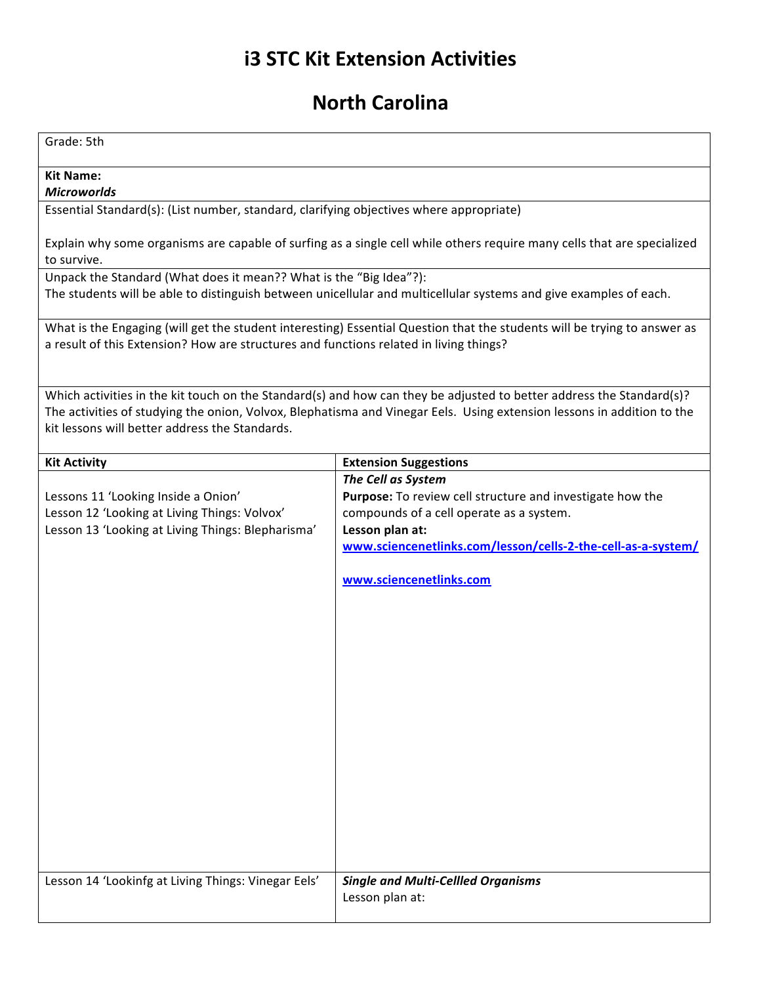## **i3 STC Kit Extension Activities**

## **North Carolina**

| Grade: 5th                                                                                                                                                                                                                                                                                       |                                                                                                                                                                                                                                           |
|--------------------------------------------------------------------------------------------------------------------------------------------------------------------------------------------------------------------------------------------------------------------------------------------------|-------------------------------------------------------------------------------------------------------------------------------------------------------------------------------------------------------------------------------------------|
| <b>Kit Name:</b><br><b>Microworlds</b>                                                                                                                                                                                                                                                           |                                                                                                                                                                                                                                           |
| Essential Standard(s): (List number, standard, clarifying objectives where appropriate)                                                                                                                                                                                                          |                                                                                                                                                                                                                                           |
| Explain why some organisms are capable of surfing as a single cell while others require many cells that are specialized<br>to survive.                                                                                                                                                           |                                                                                                                                                                                                                                           |
| Unpack the Standard (What does it mean?? What is the "Big Idea"?):<br>The students will be able to distinguish between unicellular and multicellular systems and give examples of each.                                                                                                          |                                                                                                                                                                                                                                           |
| What is the Engaging (will get the student interesting) Essential Question that the students will be trying to answer as<br>a result of this Extension? How are structures and functions related in living things?                                                                               |                                                                                                                                                                                                                                           |
| Which activities in the kit touch on the Standard(s) and how can they be adjusted to better address the Standard(s)?<br>The activities of studying the onion, Volvox, Blephatisma and Vinegar Eels. Using extension lessons in addition to the<br>kit lessons will better address the Standards. |                                                                                                                                                                                                                                           |
| <b>Kit Activity</b>                                                                                                                                                                                                                                                                              | <b>Extension Suggestions</b>                                                                                                                                                                                                              |
| Lessons 11 'Looking Inside a Onion'<br>Lesson 12 'Looking at Living Things: Volvox'<br>Lesson 13 'Looking at Living Things: Blepharisma'                                                                                                                                                         | The Cell as System<br>Purpose: To review cell structure and investigate how the<br>compounds of a cell operate as a system.<br>Lesson plan at:<br>www.sciencenetlinks.com/lesson/cells-2-the-cell-as-a-system/<br>www.sciencenetlinks.com |
| Lesson 14 'Lookinfg at Living Things: Vinegar Eels'                                                                                                                                                                                                                                              | <b>Single and Multi-Cellled Organisms</b><br>Lesson plan at:                                                                                                                                                                              |
|                                                                                                                                                                                                                                                                                                  |                                                                                                                                                                                                                                           |